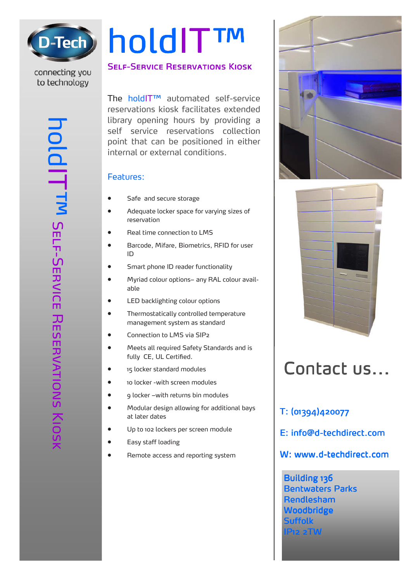

# holdIT™

# connecting you to technology

### **SELF-SERVICE RESERVATIONS KIOSK**

The holdIT™ automated self-service reservations kiosk facilitates extended library opening hours by providing a self service reservations collection point that can be positioned in either internal or external conditions. IP22 2TW opening mounts by providing in the service reservations collection<br>
Self-service reservations.<br>
Features:<br>
Safe and secure storage<br>
Myrical color space in varying sizes of<br>
Merce, Miffare, Blometrics, RFID for u

### Features:

- Safe and secure storage
- Adequate locker space for varying sizes of reservation
- Real time connection to LMS
- Barcode, Mifare, Biometrics, RFID for user ID
- Smart phone ID reader functionality
- Myriad colour options– any RAL colour available
- LED backlighting colour options
- Thermostatically controlled temperature management system as standard
- Connection to LMS via SIP2
- Meets all required Safety Standards and is fully CE, UL Certified.
- 15 locker standard modules
- 10 locker -with screen modules
- 9 locker –with returns bin modules
- Modular design allowing for additional bays at later dates
- Up to 102 lockers per screen module
- Easy staff loading
- Remote access and reporting system





# Contact us...

T: (01394)420077

E: info@d-techdirect.com

W: www.d-techdirect.com

Building 136 **Bentwaters Parks** Rendlesham **Woodbridge Suffolk**